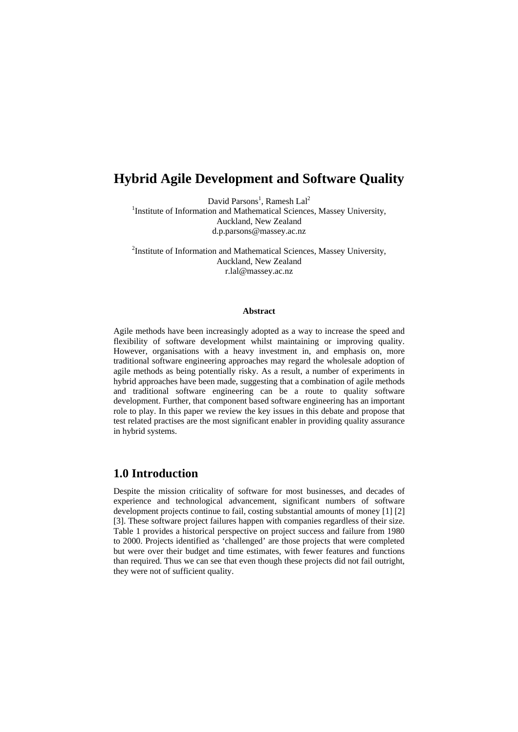# **Hybrid Agile Development and Software Quality**

David Parsons<sup>1</sup>, Ramesh Lal<sup>2</sup>

<sup>1</sup>Institute of Information and Mathematical Sciences, Massey University, Auckland, New Zealand d.p.parsons@massey.ac.nz

<sup>2</sup>Institute of Information and Mathematical Sciences, Massey University, Auckland, New Zealand r.lal@massey.ac.nz

#### **Abstract**

Agile methods have been increasingly adopted as a way to increase the speed and flexibility of software development whilst maintaining or improving quality. However, organisations with a heavy investment in, and emphasis on, more traditional software engineering approaches may regard the wholesale adoption of agile methods as being potentially risky. As a result, a number of experiments in hybrid approaches have been made, suggesting that a combination of agile methods and traditional software engineering can be a route to quality software development. Further, that component based software engineering has an important role to play. In this paper we review the key issues in this debate and propose that test related practises are the most significant enabler in providing quality assurance in hybrid systems.

## **1.0 Introduction**

Despite the mission criticality of software for most businesses, and decades of experience and technological advancement, significant numbers of software development projects continue to fail, costing substantial amounts of money [1] [2] [3]. These software project failures happen with companies regardless of their size. Table 1 provides a historical perspective on project success and failure from 1980 to 2000. Projects identified as 'challenged' are those projects that were completed but were over their budget and time estimates, with fewer features and functions than required. Thus we can see that even though these projects did not fail outright, they were not of sufficient quality.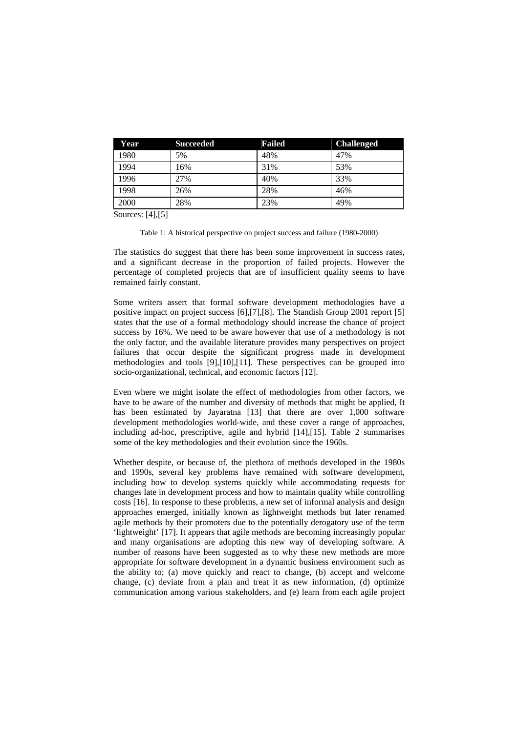| Year | <b>Succeeded</b> | <b>Failed</b> | <b>Challenged</b> |
|------|------------------|---------------|-------------------|
| 1980 | 5%               | 48%           | 47%               |
| 1994 | 16%              | 31%           | 53%               |
| 1996 | 27%              | 40%           | 33%               |
| 1998 | 26%              | 28%           | 46%               |
| 2000 | 28%              | 23%           | 49%               |

Sources: [4], [5]

Table 1: A historical perspective on project success and failure (1980-2000)

The statistics do suggest that there has been some improvement in success rates, and a significant decrease in the proportion of failed projects. However the percentage of completed projects that are of insufficient quality seems to have remained fairly constant.

Some writers assert that formal software development methodologies have a positive impact on project success [6],[7],[8]. The Standish Group 2001 report [5] states that the use of a formal methodology should increase the chance of project success by 16%. We need to be aware however that use of a methodology is not the only factor, and the available literature provides many perspectives on project failures that occur despite the significant progress made in development methodologies and tools [9],[10],[11]. These perspectives can be grouped into socio-organizational, technical, and economic factors [12].

Even where we might isolate the effect of methodologies from other factors, we have to be aware of the number and diversity of methods that might be applied, It has been estimated by Jayaratna [13] that there are over 1,000 software development methodologies world-wide, and these cover a range of approaches, including ad-hoc, prescriptive, agile and hybrid [14],[15]. Table 2 summarises some of the key methodologies and their evolution since the 1960s.

Whether despite, or because of, the plethora of methods developed in the 1980s and 1990s, several key problems have remained with software development, including how to develop systems quickly while accommodating requests for changes late in development process and how to maintain quality while controlling costs [16]. In response to these problems, a new set of informal analysis and design approaches emerged, initially known as lightweight methods but later renamed agile methods by their promoters due to the potentially derogatory use of the term 'lightweight' [17]. It appears that agile methods are becoming increasingly popular and many organisations are adopting this new way of developing software. A number of reasons have been suggested as to why these new methods are more appropriate for software development in a dynamic business environment such as the ability to; (a) move quickly and react to change, (b) accept and welcome change, (c) deviate from a plan and treat it as new information, (d) optimize communication among various stakeholders, and (e) learn from each agile project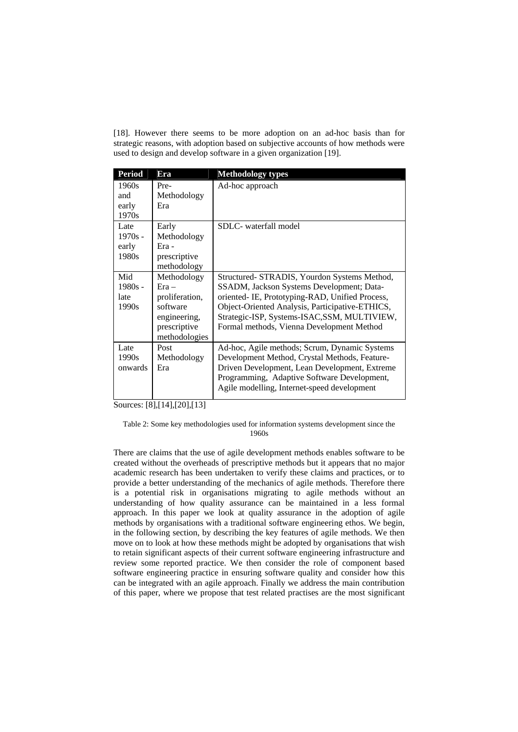[18]. However there seems to be more adoption on an ad-hoc basis than for strategic reasons, with adoption based on subjective accounts of how methods were used to design and develop software in a given organization [19].

| <b>Period</b>                       | Era                                                                                                   | <b>Methodology types</b>                                                                                                                                                                                                                                                                     |
|-------------------------------------|-------------------------------------------------------------------------------------------------------|----------------------------------------------------------------------------------------------------------------------------------------------------------------------------------------------------------------------------------------------------------------------------------------------|
| 1960s<br>and<br>early<br>1970s      | Pre-<br>Methodology<br>Era                                                                            | Ad-hoc approach                                                                                                                                                                                                                                                                              |
| Late<br>$1970s -$<br>early<br>1980s | Early<br>Methodology<br>Era -<br>prescriptive<br>methodology                                          | SDLC- waterfall model                                                                                                                                                                                                                                                                        |
| Mid<br>$1980s -$<br>late<br>1990s   | Methodology<br>$Era -$<br>proliferation,<br>software<br>engineering,<br>prescriptive<br>methodologies | Structured- STRADIS, Yourdon Systems Method,<br>SSADM, Jackson Systems Development; Data-<br>oriented- IE, Prototyping-RAD, Unified Process,<br>Object-Oriented Analysis, Participative-ETHICS,<br>Strategic-ISP, Systems-ISAC, SSM, MULTIVIEW,<br>Formal methods, Vienna Development Method |
| Late<br>1990s<br>onwards            | Post<br>Methodology<br>Era                                                                            | Ad-hoc, Agile methods; Scrum, Dynamic Systems<br>Development Method, Crystal Methods, Feature-<br>Driven Development, Lean Development, Extreme<br>Programming, Adaptive Software Development,<br>Agile modelling, Internet-speed development                                                |

Sources: [8], [14], [20], [13]

Table 2: Some key methodologies used for information systems development since the 1960s

There are claims that the use of agile development methods enables software to be created without the overheads of prescriptive methods but it appears that no major academic research has been undertaken to verify these claims and practices, or to provide a better understanding of the mechanics of agile methods. Therefore there is a potential risk in organisations migrating to agile methods without an understanding of how quality assurance can be maintained in a less formal approach. In this paper we look at quality assurance in the adoption of agile methods by organisations with a traditional software engineering ethos. We begin, in the following section, by describing the key features of agile methods. We then move on to look at how these methods might be adopted by organisations that wish to retain significant aspects of their current software engineering infrastructure and review some reported practice. We then consider the role of component based software engineering practice in ensuring software quality and consider how this can be integrated with an agile approach. Finally we address the main contribution of this paper, where we propose that test related practises are the most significant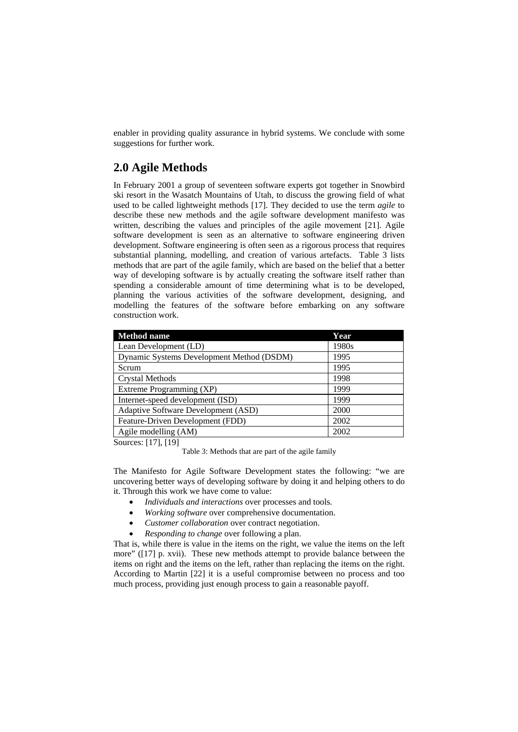enabler in providing quality assurance in hybrid systems. We conclude with some suggestions for further work.

## **2.0 Agile Methods**

In February 2001 a group of seventeen software experts got together in Snowbird ski resort in the Wasatch Mountains of Utah, to discuss the growing field of what used to be called lightweight methods [17]. They decided to use the term *agile* to describe these new methods and the agile software development manifesto was written, describing the values and principles of the agile movement [21]. Agile software development is seen as an alternative to software engineering driven development. Software engineering is often seen as a rigorous process that requires substantial planning, modelling, and creation of various artefacts. Table 3 lists methods that are part of the agile family, which are based on the belief that a better way of developing software is by actually creating the software itself rather than spending a considerable amount of time determining what is to be developed, planning the various activities of the software development, designing, and modelling the features of the software before embarking on any software construction work.

| <b>Method name</b>                        | Year  |
|-------------------------------------------|-------|
| Lean Development (LD)                     | 1980s |
| Dynamic Systems Development Method (DSDM) | 1995  |
| Scrum                                     | 1995  |
| <b>Crystal Methods</b>                    | 1998  |
| Extreme Programming (XP)                  | 1999  |
| Internet-speed development (ISD)          | 1999  |
| Adaptive Software Development (ASD)       | 2000  |
| Feature-Driven Development (FDD)          | 2002  |
| Agile modelling (AM)                      | 2002  |

Sources: [17], [19]

Table 3: Methods that are part of the agile family

The Manifesto for Agile Software Development states the following: "we are uncovering better ways of developing software by doing it and helping others to do it. Through this work we have come to value:

- *Individuals and interactions* over processes and tools.
- *Working software* over comprehensive documentation.
- *Customer collaboration* over contract negotiation.
- *Responding to change* over following a plan.

That is, while there is value in the items on the right, we value the items on the left more" ([17] p. xvii). These new methods attempt to provide balance between the items on right and the items on the left, rather than replacing the items on the right. According to Martin [22] it is a useful compromise between no process and too much process, providing just enough process to gain a reasonable payoff.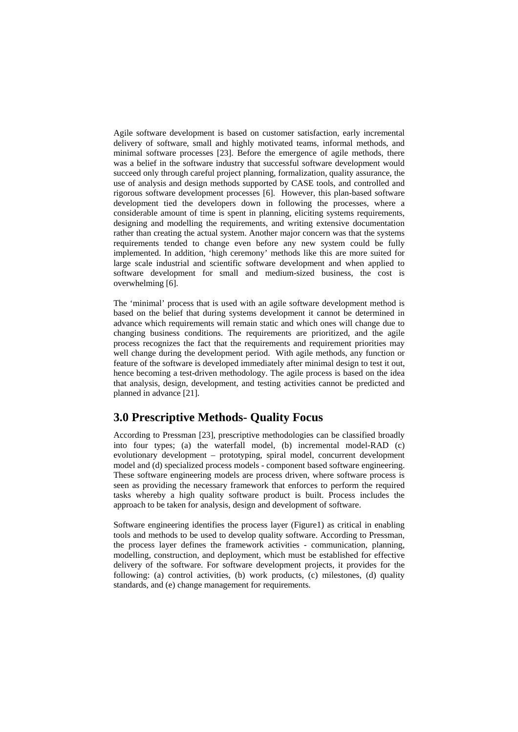Agile software development is based on customer satisfaction, early incremental delivery of software, small and highly motivated teams, informal methods, and minimal software processes [23]. Before the emergence of agile methods, there was a belief in the software industry that successful software development would succeed only through careful project planning, formalization, quality assurance, the use of analysis and design methods supported by CASE tools, and controlled and rigorous software development processes [6]. However, this plan-based software development tied the developers down in following the processes, where a considerable amount of time is spent in planning, eliciting systems requirements, designing and modelling the requirements, and writing extensive documentation rather than creating the actual system. Another major concern was that the systems requirements tended to change even before any new system could be fully implemented. In addition, 'high ceremony' methods like this are more suited for large scale industrial and scientific software development and when applied to software development for small and medium-sized business, the cost is overwhelming [6].

The 'minimal' process that is used with an agile software development method is based on the belief that during systems development it cannot be determined in advance which requirements will remain static and which ones will change due to changing business conditions. The requirements are prioritized, and the agile process recognizes the fact that the requirements and requirement priorities may well change during the development period. With agile methods, any function or feature of the software is developed immediately after minimal design to test it out, hence becoming a test-driven methodology. The agile process is based on the idea that analysis, design, development, and testing activities cannot be predicted and planned in advance [21].

### **3.0 Prescriptive Methods- Quality Focus**

According to Pressman [23], prescriptive methodologies can be classified broadly into four types; (a) the waterfall model, (b) incremental model-RAD (c) evolutionary development – prototyping, spiral model, concurrent development model and (d) specialized process models - component based software engineering. These software engineering models are process driven, where software process is seen as providing the necessary framework that enforces to perform the required tasks whereby a high quality software product is built. Process includes the approach to be taken for analysis, design and development of software.

Software engineering identifies the process layer (Figure1) as critical in enabling tools and methods to be used to develop quality software. According to Pressman, the process layer defines the framework activities - communication, planning, modelling, construction, and deployment, which must be established for effective delivery of the software. For software development projects, it provides for the following: (a) control activities, (b) work products, (c) milestones, (d) quality standards, and (e) change management for requirements.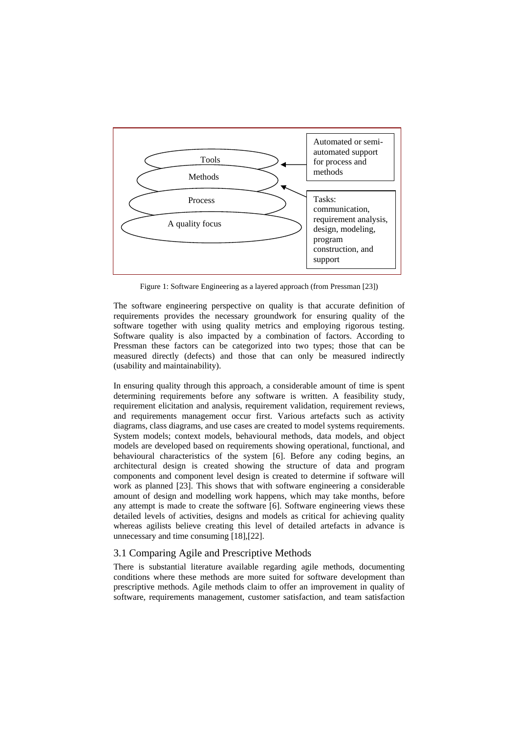

Figure 1: Software Engineering as a layered approach (from Pressman [23])

The software engineering perspective on quality is that accurate definition of requirements provides the necessary groundwork for ensuring quality of the software together with using quality metrics and employing rigorous testing. Software quality is also impacted by a combination of factors. According to Pressman these factors can be categorized into two types; those that can be measured directly (defects) and those that can only be measured indirectly (usability and maintainability).

In ensuring quality through this approach, a considerable amount of time is spent determining requirements before any software is written. A feasibility study, requirement elicitation and analysis, requirement validation, requirement reviews, and requirements management occur first. Various artefacts such as activity diagrams, class diagrams, and use cases are created to model systems requirements. System models; context models, behavioural methods, data models, and object models are developed based on requirements showing operational, functional, and behavioural characteristics of the system [6]. Before any coding begins, an architectural design is created showing the structure of data and program components and component level design is created to determine if software will work as planned [23]. This shows that with software engineering a considerable amount of design and modelling work happens, which may take months, before any attempt is made to create the software [6]. Software engineering views these detailed levels of activities, designs and models as critical for achieving quality whereas agilists believe creating this level of detailed artefacts in advance is unnecessary and time consuming [18],[22].

#### 3.1 Comparing Agile and Prescriptive Methods

There is substantial literature available regarding agile methods, documenting conditions where these methods are more suited for software development than prescriptive methods. Agile methods claim to offer an improvement in quality of software, requirements management, customer satisfaction, and team satisfaction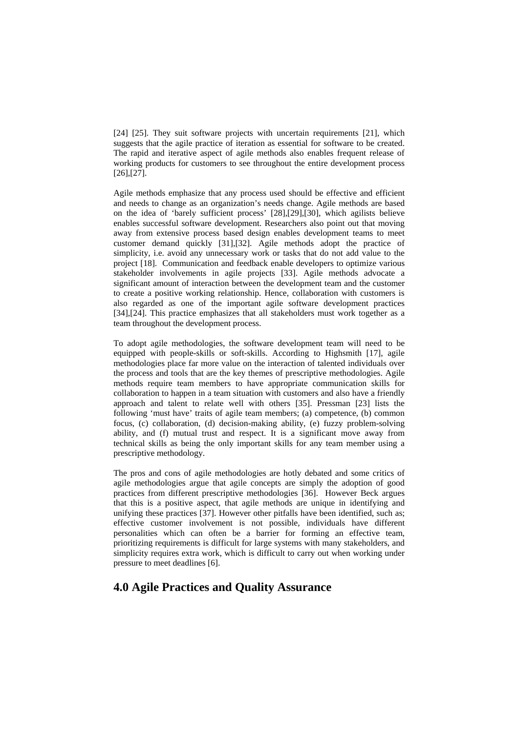[24] [25]. They suit software projects with uncertain requirements [21], which suggests that the agile practice of iteration as essential for software to be created. The rapid and iterative aspect of agile methods also enables frequent release of working products for customers to see throughout the entire development process [26],[27].

Agile methods emphasize that any process used should be effective and efficient and needs to change as an organization's needs change. Agile methods are based on the idea of 'barely sufficient process' [28],[29],[30], which agilists believe enables successful software development. Researchers also point out that moving away from extensive process based design enables development teams to meet customer demand quickly [31],[32]. Agile methods adopt the practice of simplicity, i.e. avoid any unnecessary work or tasks that do not add value to the project [18]. Communication and feedback enable developers to optimize various stakeholder involvements in agile projects [33]. Agile methods advocate a significant amount of interaction between the development team and the customer to create a positive working relationship. Hence, collaboration with customers is also regarded as one of the important agile software development practices [34],[24]. This practice emphasizes that all stakeholders must work together as a team throughout the development process.

To adopt agile methodologies, the software development team will need to be equipped with people-skills or soft-skills. According to Highsmith [17], agile methodologies place far more value on the interaction of talented individuals over the process and tools that are the key themes of prescriptive methodologies. Agile methods require team members to have appropriate communication skills for collaboration to happen in a team situation with customers and also have a friendly approach and talent to relate well with others [35]. Pressman [23] lists the following 'must have' traits of agile team members; (a) competence, (b) common focus, (c) collaboration, (d) decision-making ability, (e) fuzzy problem-solving ability, and (f) mutual trust and respect. It is a significant move away from technical skills as being the only important skills for any team member using a prescriptive methodology.

The pros and cons of agile methodologies are hotly debated and some critics of agile methodologies argue that agile concepts are simply the adoption of good practices from different prescriptive methodologies [36]. However Beck argues that this is a positive aspect, that agile methods are unique in identifying and unifying these practices [37]. However other pitfalls have been identified, such as; effective customer involvement is not possible, individuals have different personalities which can often be a barrier for forming an effective team, prioritizing requirements is difficult for large systems with many stakeholders, and simplicity requires extra work, which is difficult to carry out when working under pressure to meet deadlines [6].

### **4.0 Agile Practices and Quality Assurance**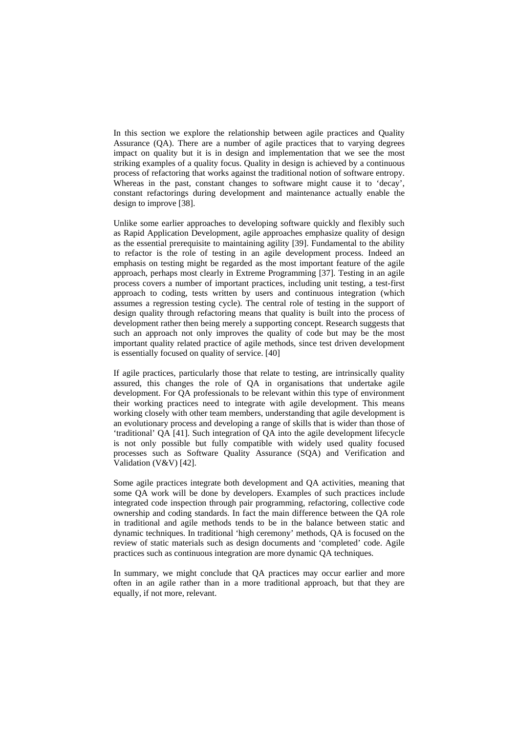In this section we explore the relationship between agile practices and Quality Assurance (QA). There are a number of agile practices that to varying degrees impact on quality but it is in design and implementation that we see the most striking examples of a quality focus. Quality in design is achieved by a continuous process of refactoring that works against the traditional notion of software entropy. Whereas in the past, constant changes to software might cause it to 'decay', constant refactorings during development and maintenance actually enable the design to improve [38].

Unlike some earlier approaches to developing software quickly and flexibly such as Rapid Application Development, agile approaches emphasize quality of design as the essential prerequisite to maintaining agility [39]. Fundamental to the ability to refactor is the role of testing in an agile development process. Indeed an emphasis on testing might be regarded as the most important feature of the agile approach, perhaps most clearly in Extreme Programming [37]. Testing in an agile process covers a number of important practices, including unit testing, a test-first approach to coding, tests written by users and continuous integration (which assumes a regression testing cycle). The central role of testing in the support of design quality through refactoring means that quality is built into the process of development rather then being merely a supporting concept. Research suggests that such an approach not only improves the quality of code but may be the most important quality related practice of agile methods, since test driven development is essentially focused on quality of service. [40]

If agile practices, particularly those that relate to testing, are intrinsically quality assured, this changes the role of QA in organisations that undertake agile development. For QA professionals to be relevant within this type of environment their working practices need to integrate with agile development. This means working closely with other team members, understanding that agile development is an evolutionary process and developing a range of skills that is wider than those of 'traditional' QA [41]. Such integration of QA into the agile development lifecycle is not only possible but fully compatible with widely used quality focused processes such as Software Quality Assurance (SQA) and Verification and Validation (V&V) [42].

Some agile practices integrate both development and QA activities, meaning that some QA work will be done by developers. Examples of such practices include integrated code inspection through pair programming, refactoring, collective code ownership and coding standards. In fact the main difference between the QA role in traditional and agile methods tends to be in the balance between static and dynamic techniques. In traditional 'high ceremony' methods, QA is focused on the review of static materials such as design documents and 'completed' code. Agile practices such as continuous integration are more dynamic QA techniques.

In summary, we might conclude that QA practices may occur earlier and more often in an agile rather than in a more traditional approach, but that they are equally, if not more, relevant.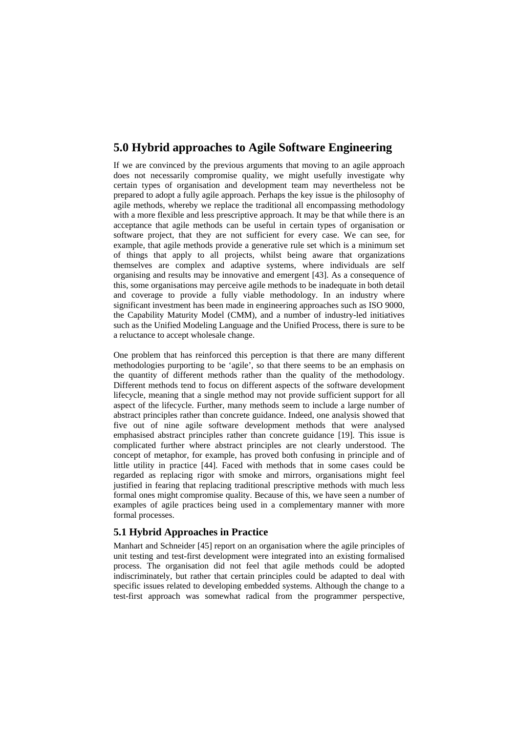## **5.0 Hybrid approaches to Agile Software Engineering**

If we are convinced by the previous arguments that moving to an agile approach does not necessarily compromise quality, we might usefully investigate why certain types of organisation and development team may nevertheless not be prepared to adopt a fully agile approach. Perhaps the key issue is the philosophy of agile methods, whereby we replace the traditional all encompassing methodology with a more flexible and less prescriptive approach. It may be that while there is an acceptance that agile methods can be useful in certain types of organisation or software project, that they are not sufficient for every case. We can see, for example, that agile methods provide a generative rule set which is a minimum set of things that apply to all projects, whilst being aware that organizations themselves are complex and adaptive systems, where individuals are self organising and results may be innovative and emergent [43]. As a consequence of this, some organisations may perceive agile methods to be inadequate in both detail and coverage to provide a fully viable methodology. In an industry where significant investment has been made in engineering approaches such as ISO 9000, the Capability Maturity Model (CMM), and a number of industry-led initiatives such as the Unified Modeling Language and the Unified Process, there is sure to be a reluctance to accept wholesale change.

One problem that has reinforced this perception is that there are many different methodologies purporting to be 'agile', so that there seems to be an emphasis on the quantity of different methods rather than the quality of the methodology. Different methods tend to focus on different aspects of the software development lifecycle, meaning that a single method may not provide sufficient support for all aspect of the lifecycle. Further, many methods seem to include a large number of abstract principles rather than concrete guidance. Indeed, one analysis showed that five out of nine agile software development methods that were analysed emphasised abstract principles rather than concrete guidance [19]. This issue is complicated further where abstract principles are not clearly understood. The concept of metaphor, for example, has proved both confusing in principle and of little utility in practice [44]. Faced with methods that in some cases could be regarded as replacing rigor with smoke and mirrors, organisations might feel justified in fearing that replacing traditional prescriptive methods with much less formal ones might compromise quality. Because of this, we have seen a number of examples of agile practices being used in a complementary manner with more formal processes.

#### **5.1 Hybrid Approaches in Practice**

Manhart and Schneider [45] report on an organisation where the agile principles of unit testing and test-first development were integrated into an existing formalised process. The organisation did not feel that agile methods could be adopted indiscriminately, but rather that certain principles could be adapted to deal with specific issues related to developing embedded systems. Although the change to a test-first approach was somewhat radical from the programmer perspective,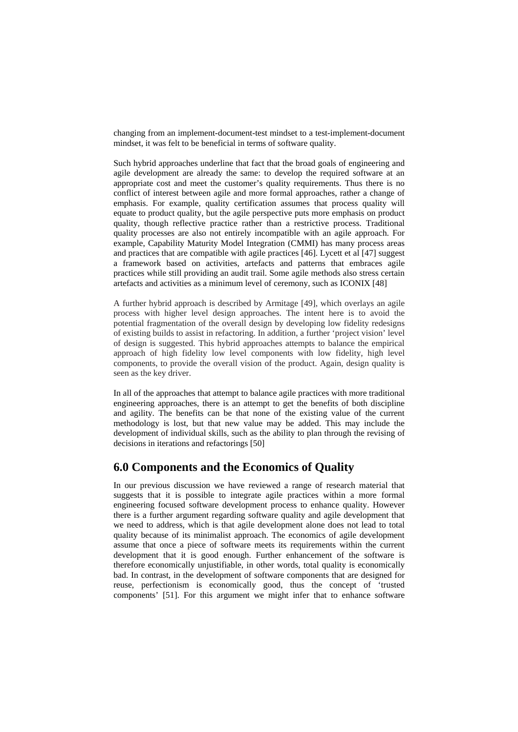changing from an implement-document-test mindset to a test-implement-document mindset, it was felt to be beneficial in terms of software quality.

Such hybrid approaches underline that fact that the broad goals of engineering and agile development are already the same: to develop the required software at an appropriate cost and meet the customer's quality requirements. Thus there is no conflict of interest between agile and more formal approaches, rather a change of emphasis. For example, quality certification assumes that process quality will equate to product quality, but the agile perspective puts more emphasis on product quality, though reflective practice rather than a restrictive process. Traditional quality processes are also not entirely incompatible with an agile approach. For example, Capability Maturity Model Integration (CMMI) has many process areas and practices that are compatible with agile practices [46]. Lycett et al [47] suggest a framework based on activities, artefacts and patterns that embraces agile practices while still providing an audit trail. Some agile methods also stress certain artefacts and activities as a minimum level of ceremony, such as ICONIX [48]

A further hybrid approach is described by Armitage [49], which overlays an agile process with higher level design approaches. The intent here is to avoid the potential fragmentation of the overall design by developing low fidelity redesigns of existing builds to assist in refactoring. In addition, a further 'project vision' level of design is suggested. This hybrid approaches attempts to balance the empirical approach of high fidelity low level components with low fidelity, high level components, to provide the overall vision of the product. Again, design quality is seen as the key driver.

In all of the approaches that attempt to balance agile practices with more traditional engineering approaches, there is an attempt to get the benefits of both discipline and agility. The benefits can be that none of the existing value of the current methodology is lost, but that new value may be added. This may include the development of individual skills, such as the ability to plan through the revising of decisions in iterations and refactorings [50]

### **6.0 Components and the Economics of Quality**

In our previous discussion we have reviewed a range of research material that suggests that it is possible to integrate agile practices within a more formal engineering focused software development process to enhance quality. However there is a further argument regarding software quality and agile development that we need to address, which is that agile development alone does not lead to total quality because of its minimalist approach. The economics of agile development assume that once a piece of software meets its requirements within the current development that it is good enough. Further enhancement of the software is therefore economically unjustifiable, in other words, total quality is economically bad. In contrast, in the development of software components that are designed for reuse, perfectionism is economically good, thus the concept of 'trusted components' [51]. For this argument we might infer that to enhance software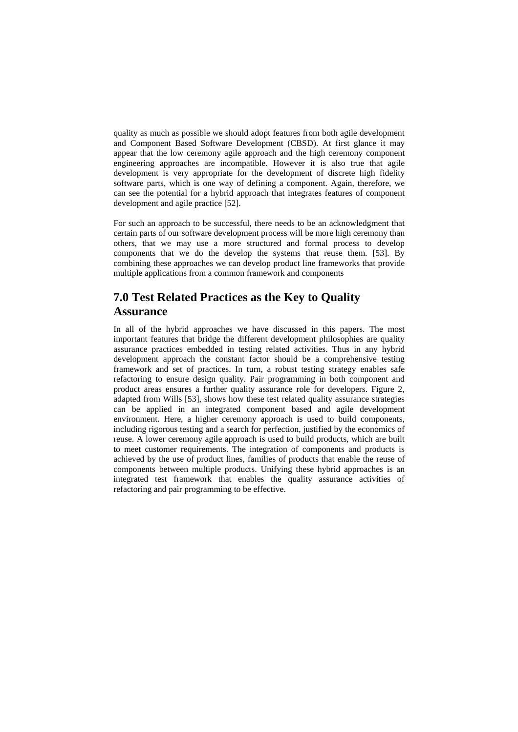quality as much as possible we should adopt features from both agile development and Component Based Software Development (CBSD). At first glance it may appear that the low ceremony agile approach and the high ceremony component engineering approaches are incompatible. However it is also true that agile development is very appropriate for the development of discrete high fidelity software parts, which is one way of defining a component. Again, therefore, we can see the potential for a hybrid approach that integrates features of component development and agile practice [52].

For such an approach to be successful, there needs to be an acknowledgment that certain parts of our software development process will be more high ceremony than others, that we may use a more structured and formal process to develop components that we do the develop the systems that reuse them. [53]. By combining these approaches we can develop product line frameworks that provide multiple applications from a common framework and components

# **7.0 Test Related Practices as the Key to Quality Assurance**

In all of the hybrid approaches we have discussed in this papers. The most important features that bridge the different development philosophies are quality assurance practices embedded in testing related activities. Thus in any hybrid development approach the constant factor should be a comprehensive testing framework and set of practices. In turn, a robust testing strategy enables safe refactoring to ensure design quality. Pair programming in both component and product areas ensures a further quality assurance role for developers. Figure 2, adapted from Wills [53], shows how these test related quality assurance strategies can be applied in an integrated component based and agile development environment. Here, a higher ceremony approach is used to build components, including rigorous testing and a search for perfection, justified by the economics of reuse. A lower ceremony agile approach is used to build products, which are built to meet customer requirements. The integration of components and products is achieved by the use of product lines, families of products that enable the reuse of components between multiple products. Unifying these hybrid approaches is an integrated test framework that enables the quality assurance activities of refactoring and pair programming to be effective.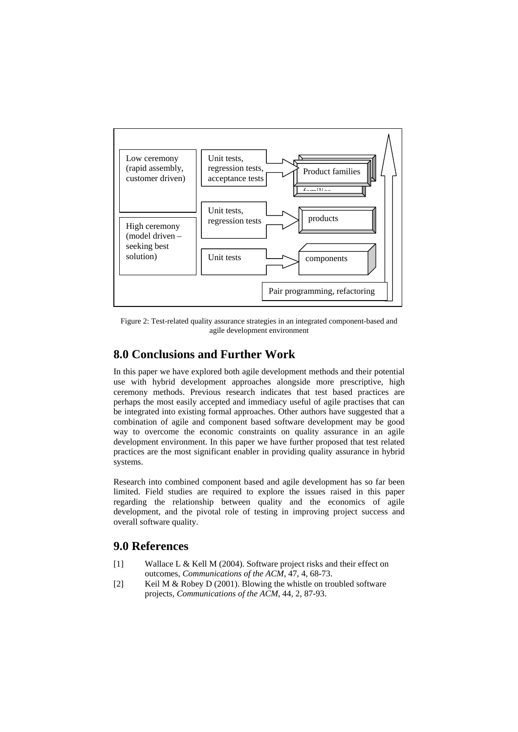

Figure 2: Test-related quality assurance strategies in an integrated component-based and agile development environment

## **8.0 Conclusions and Further Work**

In this paper we have explored both agile development methods and their potential use with hybrid development approaches alongside more prescriptive, high ceremony methods. Previous research indicates that test based practices are perhaps the most easily accepted and immediacy useful of agile practises that can be integrated into existing formal approaches. Other authors have suggested that a combination of agile and component based software development may be good way to overcome the economic constraints on quality assurance in an agile development environment. In this paper we have further proposed that test related practices are the most significant enabler in providing quality assurance in hybrid systems.

Research into combined component based and agile development has so far been limited. Field studies are required to explore the issues raised in this paper regarding the relationship between quality and the economics of agile development, and the pivotal role of testing in improving project success and overall software quality.

### **9.0 References**

- [1] Wallace L & Kell M (2004). Software project risks and their effect on outcomes*, Communications of the ACM*, 47, 4, 68-73.
- [2] Keil M & Robey D (2001). Blowing the whistle on troubled software projects*, Communications of the ACM*, 44, 2, 87-93.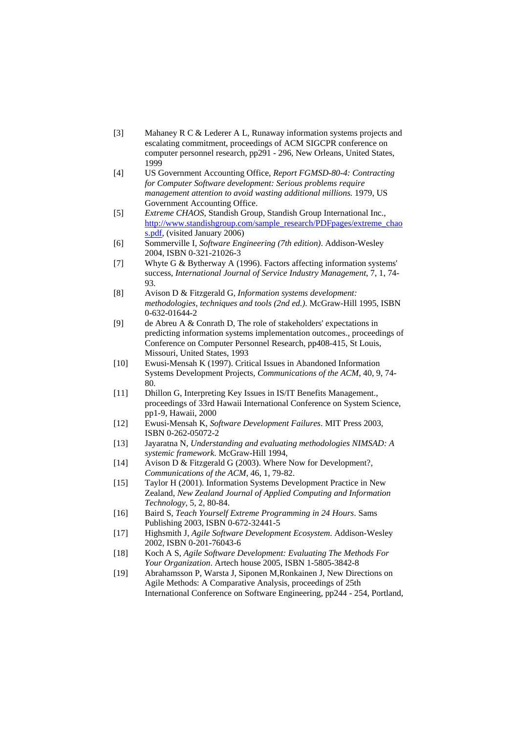- [3] Mahaney R C & Lederer A L, Runaway information systems projects and escalating commitment, proceedings of ACM SIGCPR conference on computer personnel research, pp291 - 296, New Orleans, United States, 1999
- [4] US Government Accounting Office, *Report FGMSD-80-4: Contracting for Computer Software development: Serious problems require management attention to avoid wasting additional millions.* 1979, US Government Accounting Office.
- [5] *Extreme CHAOS*, Standish Group, Standish Group International Inc., [http://www.standishgroup.com/sample\\_research/PDFpages/extreme\\_chao](http://www.standishgroup.com/sample_research/PDFpages/extreme_chaos.pdf) [s.pdf](http://www.standishgroup.com/sample_research/PDFpages/extreme_chaos.pdf), (visited January 2006)
- [6] Sommerville I, *Software Engineering (7th edition)*. Addison-Wesley 2004, ISBN 0-321-21026-3
- [7] Whyte G & Bytherway A (1996). Factors affecting information systems' success*, International Journal of Service Industry Management*, 7, 1, 74- 93.
- [8] Avison D & Fitzgerald G, *Information systems development: methodologies, techniques and tools (2nd ed.)*. McGraw-Hill 1995, ISBN 0-632-01644-2
- [9] de Abreu A & Conrath D, The role of stakeholders' expectations in predicting information systems implementation outcomes., proceedings of Conference on Computer Personnel Research, pp408-415, St Louis, Missouri, United States, 1993
- [10] Ewusi-Mensah K (1997). Critical Issues in Abandoned Information Systems Development Projects*, Communications of the ACM*, 40, 9, 74- 80.
- [11] Dhillon G, Interpreting Key Issues in IS/IT Benefits Management., proceedings of 33rd Hawaii International Conference on System Science, pp1-9, Hawaii, 2000
- [12] Ewusi-Mensah K, *Software Development Failures*. MIT Press 2003, ISBN 0-262-05072-2
- [13] Jayaratna N, *Understanding and evaluating methodologies NIMSAD: A systemic framework*. McGraw-Hill 1994,
- [14] Avison D & Fitzgerald G (2003). Where Now for Development?*, Communications of the ACM*, 46, 1, 79-82.
- [15] Taylor H (2001). Information Systems Development Practice in New Zealand*, New Zealand Journal of Applied Computing and Information Technology*, 5, 2, 80-84.
- [16] Baird S, *Teach Yourself Extreme Programming in 24 Hours*. Sams Publishing 2003, ISBN 0-672-32441-5
- [17] Highsmith J, *Agile Software Development Ecosystem*. Addison-Wesley 2002, ISBN 0-201-76043-6
- [18] Koch A S, *Agile Software Development: Evaluating The Methods For Your Organization*. Artech house 2005, ISBN 1-5805-3842-8
- [19] Abrahamsson P, Warsta J, Siponen M,Ronkainen J, New Directions on Agile Methods: A Comparative Analysis, proceedings of 25th International Conference on Software Engineering, pp244 - 254, Portland,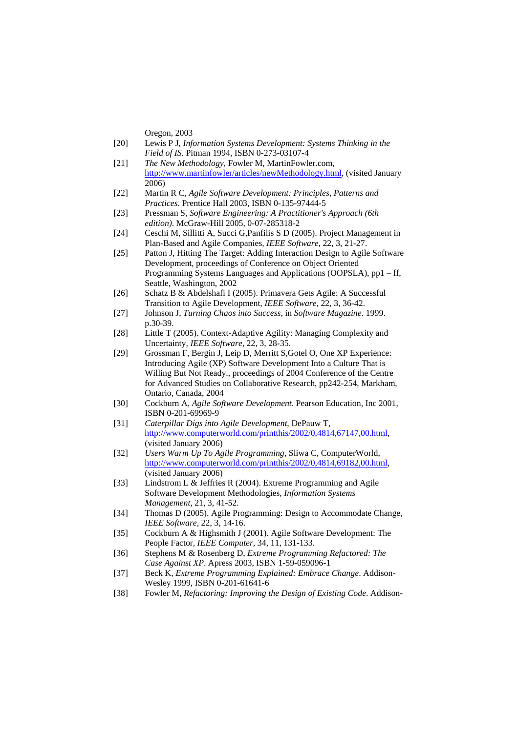Oregon, 2003

- [20] Lewis P J, *Information Systems Development: Systems Thinking in the Field of IS*. Pitman 1994, ISBN 0-273-03107-4
- [21] *The New Methodology*, Fowler M, MartinFowler.com, <http://www.martinfowler/articles/newMethodology.html>, (visited January 2006)
- [22] Martin R C, *Agile Software Development: Principles, Patterns and Practices*. Prentice Hall 2003, ISBN 0-135-97444-5
- [23] Pressman S, *Software Engineering: A Practitioner's Approach (6th edition)*. McGraw-Hill 2005, 0-07-285318-2
- [24] Ceschi M, Sillitti A, Succi G,Panfilis S D (2005). Project Management in Plan-Based and Agile Companies*, IEEE Software*, 22, 3, 21-27.
- [25] Patton J, Hitting The Target: Adding Interaction Design to Agile Software Development, proceedings of Conference on Object Oriented Programming Systems Languages and Applications (OOPSLA), pp1 – ff, Seattle, Washington, 2002
- [26] Schatz B & Abdelshafi I (2005). Primavera Gets Agile: A Successful Transition to Agile Development*, IEEE Software*, 22, 3, 36-42.
- [27] Johnson J, *Turning Chaos into Success*, in *Software Magazine*. 1999. p.30-39.
- [28] Little T (2005). Context-Adaptive Agility: Managing Complexity and Uncertainty*, IEEE Software*, 22, 3, 28-35.
- [29] Grossman F, Bergin J, Leip D, Merritt S,Gotel O, One XP Experience: Introducing Agile (XP) Software Development Into a Culture That is Willing But Not Ready., proceedings of 2004 Conference of the Centre for Advanced Studies on Collaborative Research, pp242-254, Markham, Ontario, Canada, 2004
- [30] Cockburn A, *Agile Software Development*. Pearson Education, Inc 2001, ISBN 0-201-69969-9
- [31] *Caterpillar Digs into Agile Development*, DePauw T, <http://www.computerworld.com/printthis/2002/0,4814,67147,00.html>, (visited January 2006)
- [32] *Users Warm Up To Agile Programming*, Sliwa C, ComputerWorld, <http://www.computerworld.com/printthis/2002/0,4814,69182,00.html>, (visited January 2006)
- [33] Lindstrom L & Jeffries R (2004). Extreme Programming and Agile Software Development Methodologies*, Information Systems Management*, 21, 3, 41-52.
- [34] Thomas D (2005). Agile Programming: Design to Accommodate Change*, IEEE Software*, 22, 3, 14-16.
- [35] Cockburn A & Highsmith J (2001). Agile Software Development: The People Factor*, IEEE Computer*, 34, 11, 131-133.
- [36] Stephens M & Rosenberg D, *Extreme Programming Refactored: The Case Against XP*. Apress 2003, ISBN 1-59-059096-1
- [37] Beck K, *Extreme Programming Explained: Embrace Change*. Addison-Wesley 1999, ISBN 0-201-61641-6
- [38] Fowler M, *Refactoring: Improving the Design of Existing Code*. Addison-